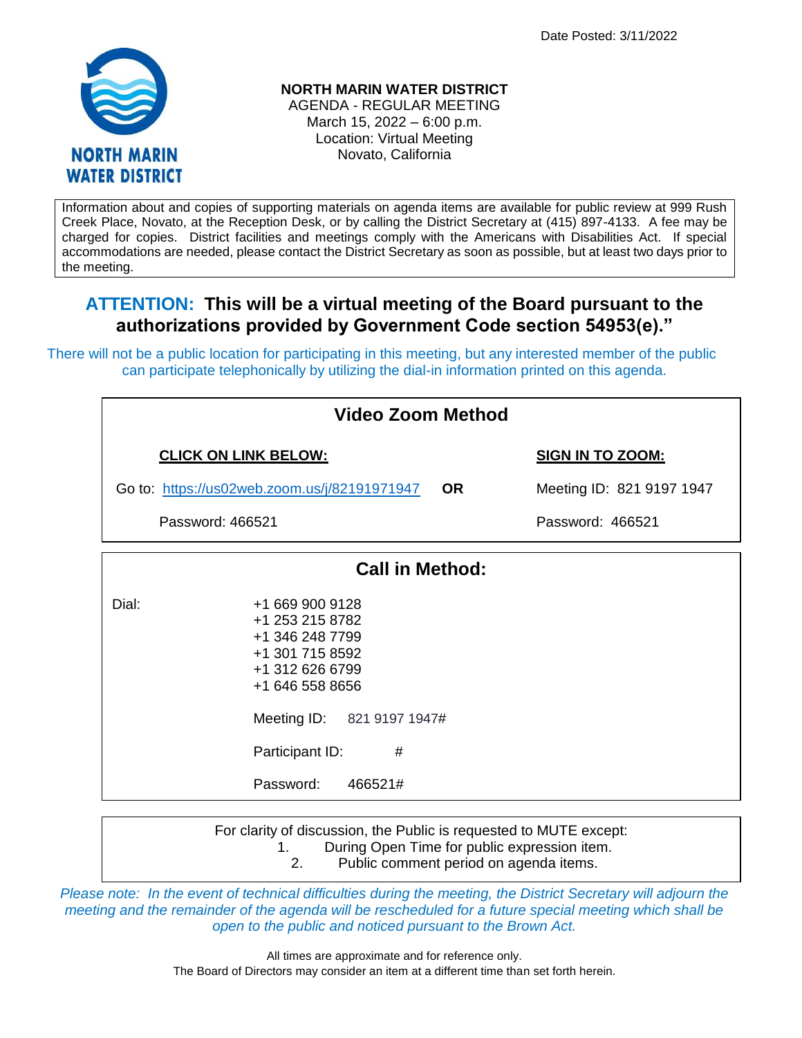Date Posted: 3/11/2022



**NORTH MARIN WATER DISTRICT** AGENDA - REGULAR MEETING

March 15, 2022 – 6:00 p.m. Location: Virtual Meeting Novato, California

Information about and copies of supporting materials on agenda items are available for public review at 999 Rush Creek Place, Novato, at the Reception Desk, or by calling the District Secretary at (415) 897-4133. A fee may be charged for copies. District facilities and meetings comply with the Americans with Disabilities Act. If special accommodations are needed, please contact the District Secretary as soon as possible, but at least two days prior to the meeting.

# **ATTENTION: This will be a virtual meeting of the Board pursuant to the authorizations provided by Government Code section 54953(e)."**

There will not be a public location for participating in this meeting, but any interested member of the public can participate telephonically by utilizing the dial-in information printed on this agenda.

| <b>Video Zoom Method</b>                     |                                                                                                                                              |                         |                           |  |
|----------------------------------------------|----------------------------------------------------------------------------------------------------------------------------------------------|-------------------------|---------------------------|--|
| <b>CLICK ON LINK BELOW:</b>                  |                                                                                                                                              | <b>SIGN IN TO ZOOM:</b> |                           |  |
| Go to: https://us02web.zoom.us/j/82191971947 |                                                                                                                                              | <b>OR</b>               | Meeting ID: 821 9197 1947 |  |
| Password: 466521                             |                                                                                                                                              |                         | Password: 466521          |  |
| <b>Call in Method:</b>                       |                                                                                                                                              |                         |                           |  |
| Dial:                                        | +1 669 900 9128<br>+1 253 215 8782<br>+1 346 248 7799<br>+1 301 715 8592<br>+1 312 626 6799<br>+1 646 558 8656<br>Meeting ID: 821 9197 1947# |                         |                           |  |
|                                              | Participant ID:<br>#                                                                                                                         |                         |                           |  |

Password: 466521#

For clarity of discussion, the Public is requested to MUTE except: 1. During Open Time for public expression item. 2. Public comment period on agenda items.

*Please note: In the event of technical difficulties during the meeting, the District Secretary will adjourn the meeting and the remainder of the agenda will be rescheduled for a future special meeting which shall be open to the public and noticed pursuant to the Brown Act.*

> All times are approximate and for reference only. The Board of Directors may consider an item at a different time than set forth herein.